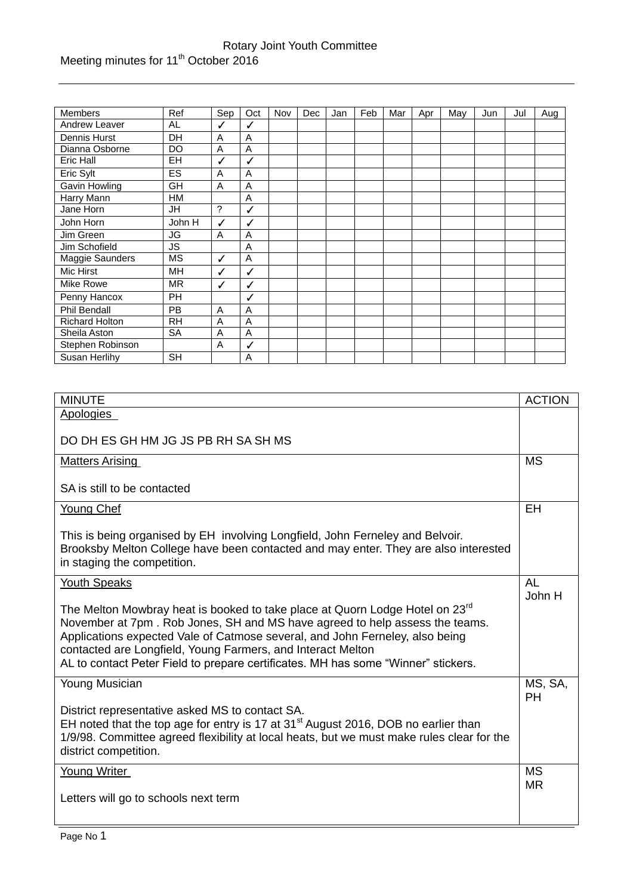| <b>Members</b>         | Ref       | Sep         | Oct | Nov | Dec | Jan | Feb | Mar | Apr | May | Jun | Jul | Aug |
|------------------------|-----------|-------------|-----|-----|-----|-----|-----|-----|-----|-----|-----|-----|-----|
| Andrew Leaver          | AL        | ✓           | ✓   |     |     |     |     |     |     |     |     |     |     |
| Dennis Hurst           | DH        | A           | A   |     |     |     |     |     |     |     |     |     |     |
| Dianna Osborne         | DO        | A           | A   |     |     |     |     |     |     |     |     |     |     |
| <b>Eric Hall</b>       | EH        | ✓           | ✓   |     |     |     |     |     |     |     |     |     |     |
| Eric Sylt              | <b>ES</b> | Α           | A   |     |     |     |     |     |     |     |     |     |     |
| Gavin Howling          | GH        | A           | A   |     |     |     |     |     |     |     |     |     |     |
| Harry Mann             | <b>HM</b> |             | A   |     |     |     |     |     |     |     |     |     |     |
| Jane Horn              | JH        | $\tilde{?}$ | ✓   |     |     |     |     |     |     |     |     |     |     |
| John Horn              | John H    | ✓           | ✓   |     |     |     |     |     |     |     |     |     |     |
| Jim Green              | JG        | A           | A   |     |     |     |     |     |     |     |     |     |     |
| Jim Schofield          | JS.       |             | A   |     |     |     |     |     |     |     |     |     |     |
| <b>Maggie Saunders</b> | MS        | ✓           | A   |     |     |     |     |     |     |     |     |     |     |
| Mic Hirst              | MН        | ✓           | ✓   |     |     |     |     |     |     |     |     |     |     |
| Mike Rowe              | <b>MR</b> | ✓           | ✓   |     |     |     |     |     |     |     |     |     |     |
| Penny Hancox           | <b>PH</b> |             | ✓   |     |     |     |     |     |     |     |     |     |     |
| <b>Phil Bendall</b>    | <b>PB</b> | A           | A   |     |     |     |     |     |     |     |     |     |     |
| <b>Richard Holton</b>  | <b>RH</b> | A           | A   |     |     |     |     |     |     |     |     |     |     |
| Sheila Aston           | <b>SA</b> | A           | A   |     |     |     |     |     |     |     |     |     |     |
| Stephen Robinson       |           | A           | ✓   |     |     |     |     |     |     |     |     |     |     |
| Susan Herlihy          | <b>SH</b> |             | Α   |     |     |     |     |     |     |     |     |     |     |

| <b>MINUTE</b>                                                                                  | <b>ACTION</b> |
|------------------------------------------------------------------------------------------------|---------------|
|                                                                                                |               |
| Apologies                                                                                      |               |
|                                                                                                |               |
| DO DH ES GH HM JG JS PB RH SA SH MS                                                            |               |
| <b>Matters Arising</b>                                                                         | <b>MS</b>     |
|                                                                                                |               |
| SA is still to be contacted                                                                    |               |
| <b>Young Chef</b>                                                                              | EH            |
|                                                                                                |               |
| This is being organised by EH involving Longfield, John Ferneley and Belvoir.                  |               |
| Brooksby Melton College have been contacted and may enter. They are also interested            |               |
| in staging the competition.                                                                    |               |
|                                                                                                |               |
| <b>Youth Speaks</b>                                                                            | AL            |
|                                                                                                | John H        |
| The Melton Mowbray heat is booked to take place at Quorn Lodge Hotel on 23 <sup>rd</sup>       |               |
| November at 7pm. Rob Jones, SH and MS have agreed to help assess the teams.                    |               |
| Applications expected Vale of Catmose several, and John Ferneley, also being                   |               |
| contacted are Longfield, Young Farmers, and Interact Melton                                    |               |
| AL to contact Peter Field to prepare certificates. MH has some "Winner" stickers.              |               |
|                                                                                                |               |
| Young Musician                                                                                 | MS, SA,       |
|                                                                                                | <b>PH</b>     |
| District representative asked MS to contact SA.                                                |               |
| EH noted that the top age for entry is 17 at 31 <sup>st</sup> August 2016, DOB no earlier than |               |
| 1/9/98. Committee agreed flexibility at local heats, but we must make rules clear for the      |               |
| district competition.                                                                          |               |
| Young Writer                                                                                   | <b>MS</b>     |
|                                                                                                | <b>MR</b>     |
| Letters will go to schools next term                                                           |               |
|                                                                                                |               |
|                                                                                                |               |